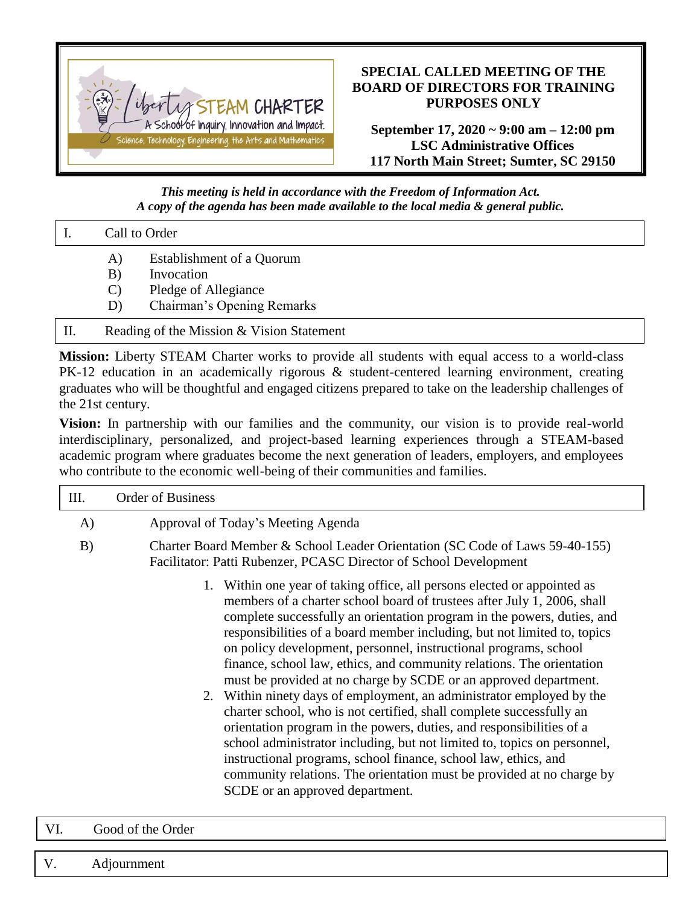

## **SPECIAL CALLED MEETING OF THE BOARD OF DIRECTORS FOR TRAINING PURPOSES ONLY**

**September 17, 2020 ~ 9:00 am – 12:00 pm LSC Administrative Offices 117 North Main Street; Sumter, SC 29150**

*This meeting is held in accordance with the Freedom of Information Act. A copy of the agenda has been made available to the local media & general public.*

| Call to Order |                                         |
|---------------|-----------------------------------------|
| A)<br>B)      | Establishment of a Quorum<br>Invocation |
|               | Pledge of Allegiance                    |

- D) Chairman's Opening Remarks
- II. Reading of the Mission & Vision Statement

**Mission:** Liberty STEAM Charter works to provide all students with equal access to a world-class PK-12 education in an academically rigorous & student-centered learning environment, creating graduates who will be thoughtful and engaged citizens prepared to take on the leadership challenges of the 21st century.

**Vision:** In partnership with our families and the community, our vision is to provide real-world interdisciplinary, personalized, and project-based learning experiences through a STEAM-based academic program where graduates become the next generation of leaders, employers, and employees who contribute to the economic well-being of their communities and families.

| Ш. | <b>Order of Business</b>                                                                                                                                                                                                                                                                                                                                                                                                                                                                                                                                                                                                                                                                                                                                                                                                                                                                                                                                                                                     |  |  |
|----|--------------------------------------------------------------------------------------------------------------------------------------------------------------------------------------------------------------------------------------------------------------------------------------------------------------------------------------------------------------------------------------------------------------------------------------------------------------------------------------------------------------------------------------------------------------------------------------------------------------------------------------------------------------------------------------------------------------------------------------------------------------------------------------------------------------------------------------------------------------------------------------------------------------------------------------------------------------------------------------------------------------|--|--|
| A) | Approval of Today's Meeting Agenda                                                                                                                                                                                                                                                                                                                                                                                                                                                                                                                                                                                                                                                                                                                                                                                                                                                                                                                                                                           |  |  |
| B) | Charter Board Member & School Leader Orientation (SC Code of Laws 59-40-155)<br>Facilitator: Patti Rubenzer, PCASC Director of School Development                                                                                                                                                                                                                                                                                                                                                                                                                                                                                                                                                                                                                                                                                                                                                                                                                                                            |  |  |
|    | Within one year of taking office, all persons elected or appointed as<br>members of a charter school board of trustees after July 1, 2006, shall<br>complete successfully an orientation program in the powers, duties, and<br>responsibilities of a board member including, but not limited to, topics<br>on policy development, personnel, instructional programs, school<br>finance, school law, ethics, and community relations. The orientation<br>must be provided at no charge by SCDE or an approved department.<br>2. Within ninety days of employment, an administrator employed by the<br>charter school, who is not certified, shall complete successfully an<br>orientation program in the powers, duties, and responsibilities of a<br>school administrator including, but not limited to, topics on personnel,<br>instructional programs, school finance, school law, ethics, and<br>community relations. The orientation must be provided at no charge by<br>SCDE or an approved department. |  |  |